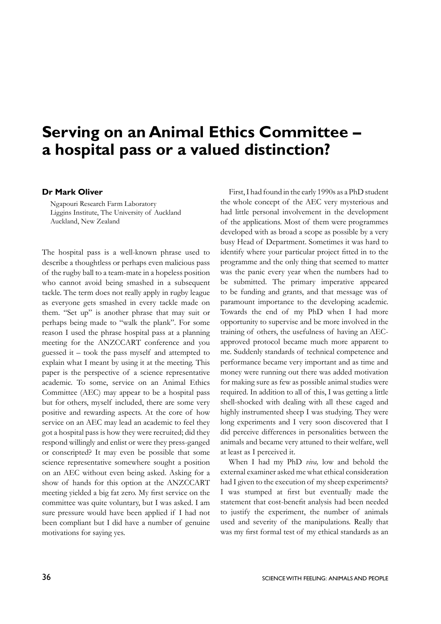## **Serving on an Animal Ethics Committee – a hospital pass or a valued distinction?**

## **Dr Mark Oliver**

Ngapouri Research Farm Laboratory Liggins Institute, The University of Auckland Auckland, New Zealand

The hospital pass is a well-known phrase used to describe a thoughtless or perhaps even malicious pass of the rugby ball to a team-mate in a hopeless position who cannot avoid being smashed in a subsequent tackle. The term does not really apply in rugby league as everyone gets smashed in every tackle made on them. "Set up" is another phrase that may suit or perhaps being made to "walk the plank". For some reason I used the phrase hospital pass at a planning meeting for the ANZCCART conference and you guessed it – took the pass myself and attempted to explain what I meant by using it at the meeting. This paper is the perspective of a science representative academic. To some, service on an Animal Ethics Committee (AEC) may appear to be a hospital pass but for others, myself included, there are some very positive and rewarding aspects. At the core of how service on an AEC may lead an academic to feel they got a hospital pass is how they were recruited; did they respond willingly and enlist or were they press-ganged or conscripted? It may even be possible that some science representative somewhere sought a position on an AEC without even being asked. Asking for a show of hands for this option at the ANZCCART meeting yielded a big fat zero. My first service on the committee was quite voluntary, but I was asked. I am sure pressure would have been applied if I had not been compliant but I did have a number of genuine motivations for saying yes.

First, I had found in the early 1990s as a PhD student the whole concept of the AEC very mysterious and had little personal involvement in the development of the applications. Most of them were programmes developed with as broad a scope as possible by a very busy Head of Department. Sometimes it was hard to identify where your particular project fitted in to the programme and the only thing that seemed to matter was the panic every year when the numbers had to be submitted. The primary imperative appeared to be funding and grants, and that message was of paramount importance to the developing academic. Towards the end of my PhD when I had more opportunity to supervise and be more involved in the training of others, the usefulness of having an AECapproved protocol became much more apparent to me. Suddenly standards of technical competence and performance became very important and as time and money were running out there was added motivation for making sure as few as possible animal studies were required. In addition to all of this, I was getting a little shell-shocked with dealing with all these caged and highly instrumented sheep I was studying. They were long experiments and I very soon discovered that I did perceive differences in personalities between the animals and became very attuned to their welfare, well at least as I perceived it.

When I had my PhD *viva,* low and behold the external examiner asked me what ethical consideration had I given to the execution of my sheep experiments? I was stumped at first but eventually made the statement that cost-benefit analysis had been needed to justify the experiment, the number of animals used and severity of the manipulations. Really that was my first formal test of my ethical standards as an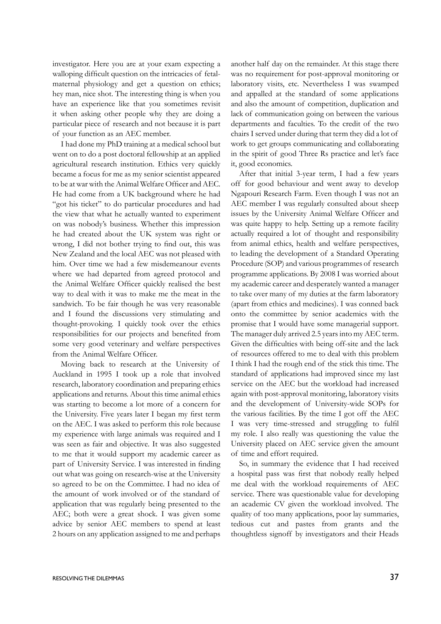investigator. Here you are at your exam expecting a walloping difficult question on the intricacies of fetalmaternal physiology and get a question on ethics; hey man, nice shot. The interesting thing is when you have an experience like that you sometimes revisit it when asking other people why they are doing a particular piece of research and not because it is part of your function as an AEC member.

I had done my PhD training at a medical school but went on to do a post doctoral fellowship at an applied agricultural research institution. Ethics very quickly became a focus for me as my senior scientist appeared to be at war with the Animal Welfare Officer and AEC. He had come from a UK background where he had "got his ticket" to do particular procedures and had the view that what he actually wanted to experiment on was nobody's business. Whether this impression he had created about the UK system was right or wrong, I did not bother trying to find out, this was New Zealand and the local AEC was not pleased with him. Over time we had a few misdemeanour events where we had departed from agreed protocol and the Animal Welfare Officer quickly realised the best way to deal with it was to make me the meat in the sandwich. To be fair though he was very reasonable and I found the discussions very stimulating and thought-provoking. I quickly took over the ethics responsibilities for our projects and benefited from some very good veterinary and welfare perspectives from the Animal Welfare Officer.

Moving back to research at the University of Auckland in 1995 I took up a role that involved research, laboratory coordination and preparing ethics applications and returns. About this time animal ethics was starting to become a lot more of a concern for the University. Five years later I began my first term on the AEC. I was asked to perform this role because my experience with large animals was required and I was seen as fair and objective. It was also suggested to me that it would support my academic career as part of University Service. I was interested in finding out what was going on research-wise at the University so agreed to be on the Committee. I had no idea of the amount of work involved or of the standard of application that was regularly being presented to the AEC; both were a great shock. I was given some advice by senior AEC members to spend at least 2 hours on any application assigned to me and perhaps

another half day on the remainder. At this stage there was no requirement for post-approval monitoring or laboratory visits, etc. Nevertheless I was swamped and appalled at the standard of some applications and also the amount of competition, duplication and lack of communication going on between the various departments and faculties. To the credit of the two chairs I served under during that term they did a lot of work to get groups communicating and collaborating in the spirit of good Three Rs practice and let's face it, good economics.

After that initial 3-year term, I had a few years off for good behaviour and went away to develop Ngapouri Research Farm. Even though I was not an AEC member I was regularly consulted about sheep issues by the University Animal Welfare Officer and was quite happy to help. Setting up a remote facility actually required a lot of thought and responsibility from animal ethics, health and welfare perspectives, to leading the development of a Standard Operating Procedure (SOP) and various programmes of research programme applications. By 2008 I was worried about my academic career and desperately wanted a manager to take over many of my duties at the farm laboratory (apart from ethics and medicines). I was conned back onto the committee by senior academics with the promise that I would have some managerial support. The manager duly arrived 2.5 years into my AEC term. Given the difficulties with being off-site and the lack of resources offered to me to deal with this problem I think I had the rough end of the stick this time. The standard of applications had improved since my last service on the AEC but the workload had increased again with post-approval monitoring, laboratory visits and the development of University-wide SOPs for the various facilities. By the time I got off the AEC I was very time-stressed and struggling to fulfil my role. I also really was questioning the value the University placed on AEC service given the amount of time and effort required.

So, in summary the evidence that I had received a hospital pass was first that nobody really helped me deal with the workload requirements of AEC service. There was questionable value for developing an academic CV given the workload involved. The quality of too many applications, poor lay summaries, tedious cut and pastes from grants and the thoughtless signoff by investigators and their Heads